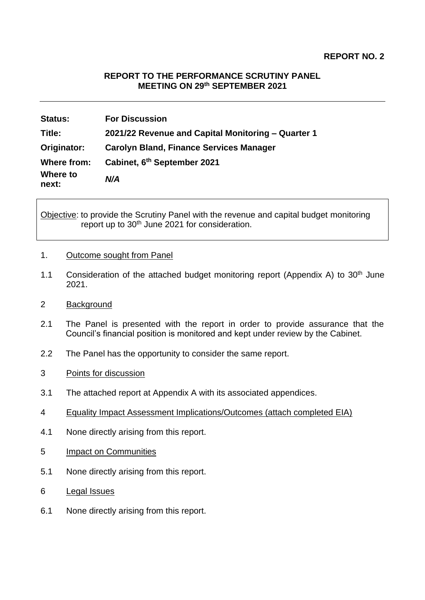# **REPORT TO THE PERFORMANCE SCRUTINY PANEL MEETING ON 29th SEPTEMBER 2021**

| <b>Status:</b>    | <b>For Discussion</b>                              |
|-------------------|----------------------------------------------------|
| Title:            | 2021/22 Revenue and Capital Monitoring - Quarter 1 |
| Originator:       | <b>Carolyn Bland, Finance Services Manager</b>     |
| Where from:       | Cabinet, 6 <sup>th</sup> September 2021            |
| Where to<br>next: | N/A                                                |

Objective: to provide the Scrutiny Panel with the revenue and capital budget monitoring report up to 30<sup>th</sup> June 2021 for consideration.

#### 1. Outcome sought from Panel

1.1 Consideration of the attached budget monitoring report (Appendix A) to 30<sup>th</sup> June 2021.

# 2 Background

- 2.1 The Panel is presented with the report in order to provide assurance that the Council's financial position is monitored and kept under review by the Cabinet.
- 2.2 The Panel has the opportunity to consider the same report.
- 3 Points for discussion
- 3.1 The attached report at Appendix A with its associated appendices.
- 4 Equality Impact Assessment Implications/Outcomes (attach completed EIA)
- 4.1 None directly arising from this report.
- 5 Impact on Communities
- 5.1 None directly arising from this report.
- 6 Legal Issues
- 6.1 None directly arising from this report.